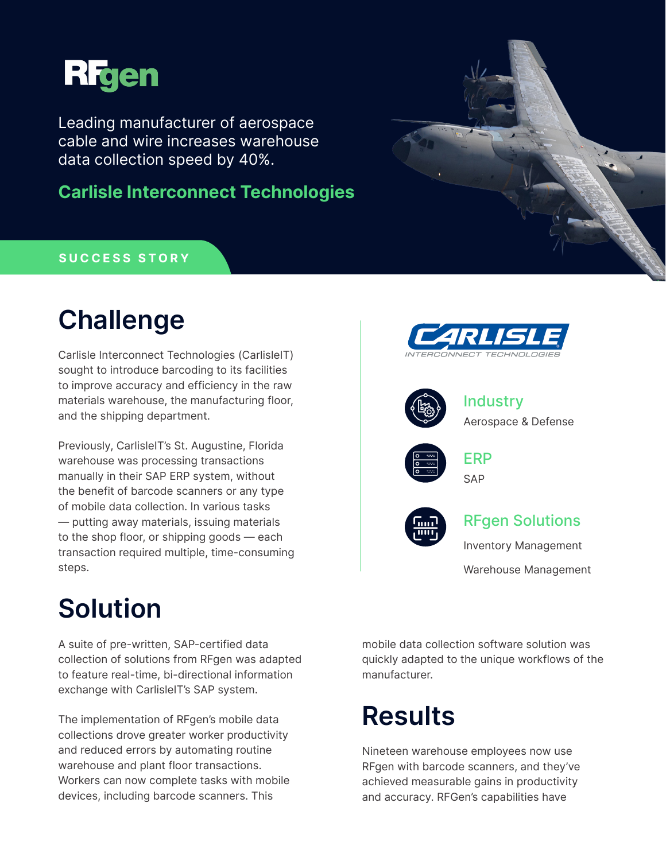

Leading manufacturer of aerospace cable and wire increases warehouse data collection speed by 40%.

**Carlisle Interconnect Technologies**

### **SUCCESS STORY**

## **Challenge**

Carlisle Interconnect Technologies (CarlisleIT) sought to introduce barcoding to its facilities to improve accuracy and efficiency in the raw materials warehouse, the manufacturing floor, and the shipping department.

Previously, CarlisleIT's St. Augustine, Florida warehouse was processing transactions manually in their SAP ERP system, without the benefit of barcode scanners or any type of mobile data collection. In various tasks — putting away materials, issuing materials to the shop floor, or shipping goods — each transaction required multiple, time-consuming steps.

# **Solution**

A suite of pre-written, SAP-certified data collection of solutions from RFgen was adapted to feature real-time, bi-directional information exchange with CarlisleIT's SAP system.

The implementation of RFgen's mobile data collections drove greater worker productivity and reduced errors by automating routine warehouse and plant floor transactions. Workers can now complete tasks with mobile devices, including barcode scanners. This



mobile data collection software solution was quickly adapted to the unique workflows of the manufacturer.

# **Results**

Nineteen warehouse employees now use RFgen with barcode scanners, and they've achieved measurable gains in productivity and accuracy. RFGen's capabilities have